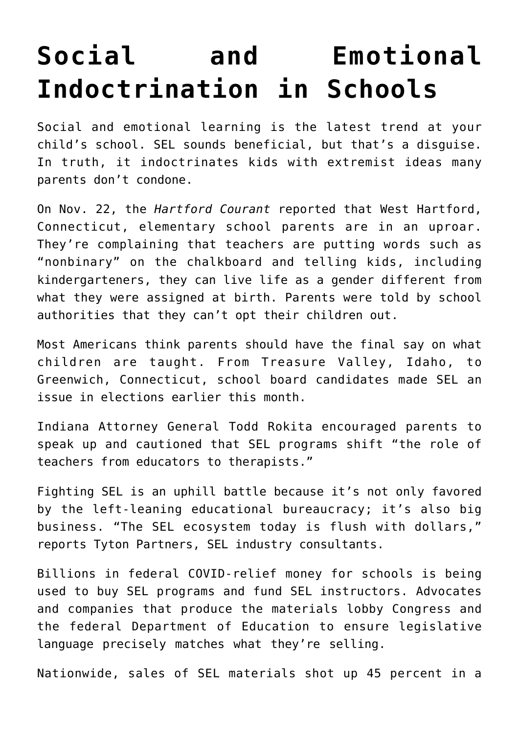## **[Social and Emotional](https://intellectualtakeout.org/2021/11/social-and-emotional-indoctrination-in-schools/) [Indoctrination in Schools](https://intellectualtakeout.org/2021/11/social-and-emotional-indoctrination-in-schools/)**

Social and emotional learning is the latest trend at your child's school. SEL sounds beneficial, but that's a disguise. In truth, it indoctrinates kids with extremist ideas many parents don't condone.

On Nov. 22, the *Hartford Courant* reported that West Hartford, Connecticut, elementary school parents are in an uproar. They're complaining that teachers are putting words such as "nonbinary" on the chalkboard and telling kids, including kindergarteners, they can live life as a gender different from what they were assigned at birth. Parents were told by school authorities that they can't opt their children out.

Most Americans think parents should have the final say on what children are taught. From Treasure Valley, Idaho, to Greenwich, Connecticut, school board candidates made SEL an issue in elections earlier this month.

Indiana Attorney General Todd Rokita encouraged parents to speak up and cautioned that SEL programs shift "the role of teachers from educators to therapists."

Fighting SEL is an uphill battle because it's not only favored by the left-leaning educational bureaucracy; it's also big business. "The SEL ecosystem today is flush with dollars," reports Tyton Partners, SEL industry consultants.

Billions in federal COVID-relief money for schools is being used to buy SEL programs and fund SEL instructors. Advocates and companies that produce the materials lobby Congress and the federal Department of Education to ensure legislative language precisely matches what they're selling.

Nationwide, sales of SEL materials shot up 45 percent in a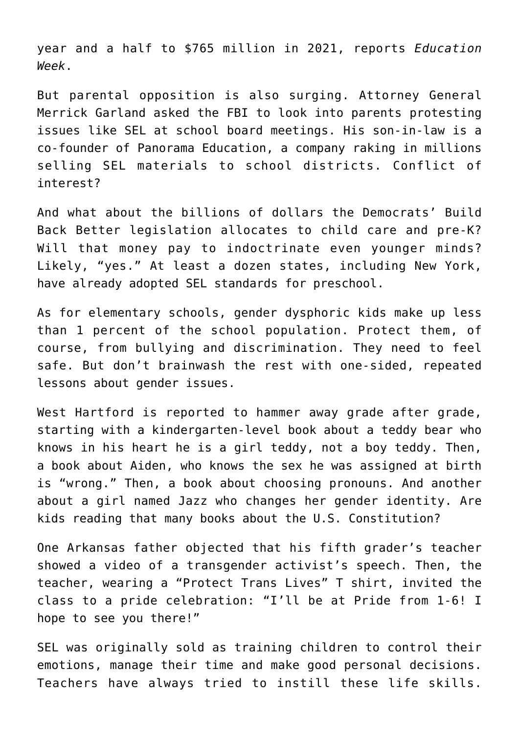year and a half to \$765 million in 2021, reports *Education Week*.

But parental opposition is also surging. Attorney General Merrick Garland asked the FBI to look into parents protesting issues like SEL at school board meetings. His son-in-law is a co-founder of Panorama Education, a company raking in millions selling SEL materials to school districts. Conflict of interest?

And what about the billions of dollars the Democrats' Build Back Better legislation allocates to child care and pre-K? Will that money pay to indoctrinate even younger minds? Likely, "yes." At least a dozen states, including New York, have already adopted SEL standards for preschool.

As for elementary schools, gender dysphoric kids make up less than 1 percent of the school population. Protect them, of course, from bullying and discrimination. They need to feel safe. But don't brainwash the rest with one-sided, repeated lessons about gender issues.

West Hartford is reported to hammer away grade after grade, starting with a kindergarten-level book about a teddy bear who knows in his heart he is a girl teddy, not a boy teddy. Then, a book about Aiden, who knows the sex he was assigned at birth is "wrong." Then, a book about choosing pronouns. And another about a girl named Jazz who changes her gender identity. Are kids reading that many books about the U.S. Constitution?

One Arkansas father objected that his fifth grader's teacher showed a video of a transgender activist's speech. Then, the teacher, wearing a "Protect Trans Lives" T shirt, invited the class to a pride celebration: "I'll be at Pride from 1-6! I hope to see you there!"

SEL was originally sold as training children to control their emotions, manage their time and make good personal decisions. Teachers have always tried to instill these life skills.